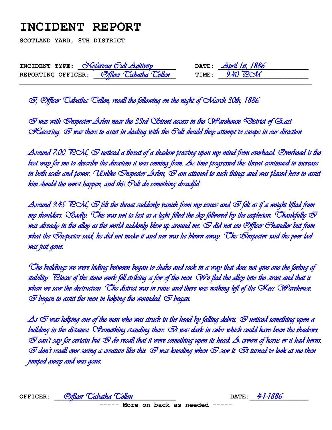## **INCIDENT REPORT**

**SCOTLAND YARD, 8TH DISTRICT** 

| INCIDENT TYPE:     | <i>Sefarious Gult Acitivity</i> |       | DATE: $\Delta \text{pril }$ 1st, 1886 |
|--------------------|---------------------------------|-------|---------------------------------------|
| REPORTING OFFICER: | <u> Officer Cabatha Cellen</u>  | TIME: | $9.40$ Poll                           |

I, Officer Tabatha Tellen, recall the following on the night of March 30th, 1886.

 $\bar{\otimes}$  was with  $\bar{\otimes}$ nspector Arlen near the 33rd  $\bar{\otimes}$ treet access in the  $\bar{\otimes}$ arehouse  $\bar{\otimes}$ istrict of East S Cavering.  $\odot$  was there to assist in dealing with the Gult should they attempt to escape in our direction.

Around 7:00  $POM$ ,  $O$  noticed a threat of a shadow pressing upon my mind from overhead. Overhead is the best way for me to describe the direction it was coming from. As time progressed this threat continued to increase in both scale and power. Unlike Snspector Arlen,  $\oslash$  am attuned to such things and was placed here to assist him should the worst happen, and this Cult do something dreadful.

Around 9:45 RCM,  $\odot$  felt the threat suddenly vanish from my senses and  $\odot$  felt as if a weight lifted from my shoulders. Sadly. This was not to last as a light filled the sky followed by the explosion. Thankfully  $\bar{\heartsuit}$ was already in the alley as the world suddenly blew up around me.  $\bar{\otimes}$  did not see Officer Ghandler but from what the Snspector said, he did not make it and nor was he blown away. The Snspector said the poor lad was just gone.

The buildings we were hiding between began to shake and rock in a way that does not give one the feeling of stability. Pieces of the stone work fell striking a few of the men. We fled the alley into the street and that is when we saw the destruction. The district was in ruins and there was nothing left of the  $\propto$ ass Warehouse.  $\bar{\infty}$  began to assist the men in helping the wounded.  $\bar{\infty}$  began.

As  $\oslash$  was helping one of the men who was struck in the head by falling debris.  $\oslash$  noticed something upon a building in the distance. Something standing there.  $\bar{\otimes}$ t was dark in color which could have been the shadows.  $\oslash$  can't say for certain but  $\oslash$  do recall that it wore something upon its head. A crown of horns or it had horns.  $\bar\varpi$  don't recall ever seeing a creature like this.  $\bar\varpi$  was kneeling when  $\bar\varpi$  saw it.  $\bar\varpi$ t turned to look at me then jumped away and was gone.

| OFFICER: | <u> Officer 'Cabatha' Cellen</u>   | DATE: $4-1-1886$ |  |
|----------|------------------------------------|------------------|--|
|          | $---$ More on back as needed $---$ |                  |  |